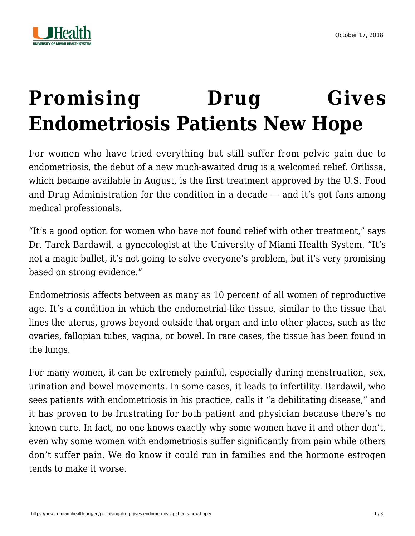



## **[Promising Drug Gives](https://news.umiamihealth.org/en/promising-drug-gives-endometriosis-patients-new-hope/) [Endometriosis Patients New Hope](https://news.umiamihealth.org/en/promising-drug-gives-endometriosis-patients-new-hope/)**

For women who have tried everything but still suffer from pelvic pain due to endometriosis, the debut of a new much-awaited drug is a welcomed relief. Orilissa, which became available in August, is the first treatment approved by the U.S. Food and Drug Administration for the condition in a decade — and it's got fans among medical professionals.

"It's a good option for women who have not found relief with other treatment," says Dr. Tarek Bardawil, a gynecologist at the University of Miami Health System. "It's not a magic bullet, it's not going to solve everyone's problem, but it's very promising based on strong evidence."

Endometriosis affects between as many as 10 percent of all women of reproductive age. It's a condition in which the endometrial-like tissue, similar to the tissue that lines the uterus, grows beyond outside that organ and into other places, such as the ovaries, fallopian tubes, vagina, or bowel. In rare cases, the tissue has been found in the lungs.

For many women, it can be extremely painful, especially during menstruation, sex, urination and bowel movements. In some cases, it leads to infertility. Bardawil, who sees patients with endometriosis in his practice, calls it "a debilitating disease," and it has proven to be frustrating for both patient and physician because there's no known cure. In fact, no one knows exactly why some women have it and other don't, even why some women with endometriosis suffer significantly from pain while others don't suffer pain. We do know it could run in families and the hormone estrogen tends to make it worse.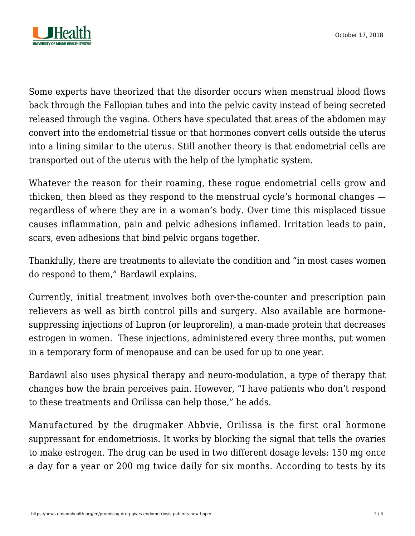

Some experts have theorized that the disorder occurs when menstrual blood flows back through the Fallopian tubes and into the pelvic cavity instead of being secreted released through the vagina. Others have speculated that areas of the abdomen may convert into the endometrial tissue or that hormones convert cells outside the uterus into a lining similar to the uterus. Still another theory is that endometrial cells are transported out of the uterus with the help of the lymphatic system.

Whatever the reason for their roaming, these rogue endometrial cells grow and thicken, then bleed as they respond to the menstrual cycle's hormonal changes regardless of where they are in a woman's body. Over time this misplaced tissue causes inflammation, pain and pelvic adhesions inflamed. Irritation leads to pain, scars, even adhesions that bind pelvic organs together.

Thankfully, there are treatments to alleviate the condition and "in most cases women do respond to them," Bardawil explains.

Currently, initial treatment involves both over-the-counter and prescription pain relievers as well as birth control pills and surgery. Also available are hormonesuppressing injections of Lupron (or leuprorelin), a man-made protein that decreases estrogen in women. These injections, administered every three months, put women in a temporary form of menopause and can be used for up to one year.

Bardawil also uses physical therapy and neuro-modulation, a type of therapy that changes how the brain perceives pain. However, "I have patients who don't respond to these treatments and Orilissa can help those," he adds.

Manufactured by the drugmaker Abbvie, Orilissa is the first oral hormone suppressant for endometriosis. It works by blocking the signal that tells the ovaries to make estrogen. The drug can be used in two different dosage levels: 150 mg once a day for a year or 200 mg twice daily for six months. According to tests by its